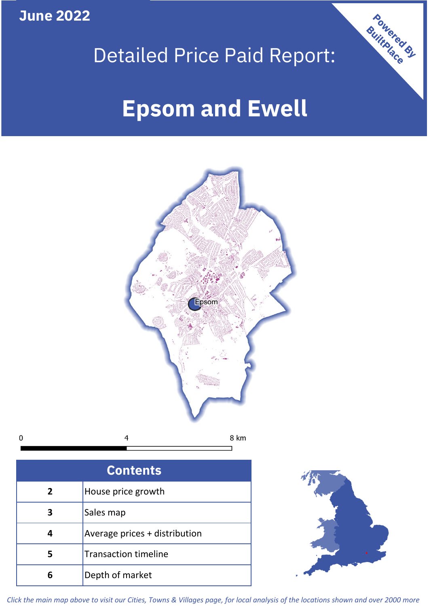**June 2022**

 $\mathbf 0$ 





| <b>Contents</b> |                               |  |  |
|-----------------|-------------------------------|--|--|
| 2               | House price growth            |  |  |
|                 | Sales map                     |  |  |
| 4               | Average prices + distribution |  |  |
|                 | <b>Transaction timeline</b>   |  |  |
| 6               | Depth of market               |  |  |



*Click the main map above to visit our Cities, Towns & Villages page, for local analysis of the locations shown and over 2000 more*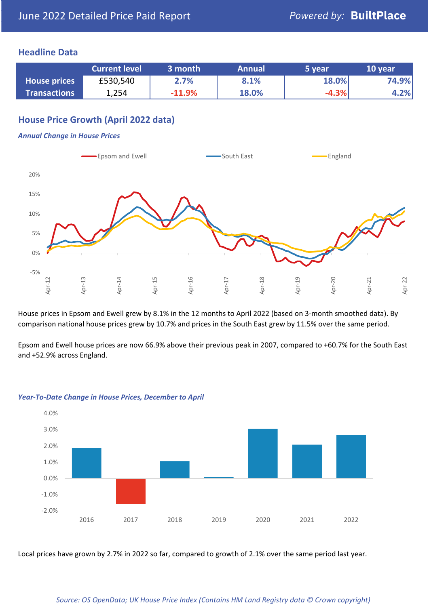### **Headline Data**

|                     | <b>Current level</b> | 3 month  | <b>Annual</b> | 5 year  | 10 year |
|---------------------|----------------------|----------|---------------|---------|---------|
| <b>House prices</b> | £530,540             | 2.7%     | 8.1%          | 18.0%   | 74.9%   |
| <b>Transactions</b> | 1,254                | $-11.9%$ | 18.0%         | $-4.3%$ | 4.2%    |

# **House Price Growth (April 2022 data)**

#### *Annual Change in House Prices*



House prices in Epsom and Ewell grew by 8.1% in the 12 months to April 2022 (based on 3-month smoothed data). By comparison national house prices grew by 10.7% and prices in the South East grew by 11.5% over the same period.

Epsom and Ewell house prices are now 66.9% above their previous peak in 2007, compared to +60.7% for the South East and +52.9% across England.



### *Year-To-Date Change in House Prices, December to April*

Local prices have grown by 2.7% in 2022 so far, compared to growth of 2.1% over the same period last year.

#### *Source: OS OpenData; UK House Price Index (Contains HM Land Registry data © Crown copyright)*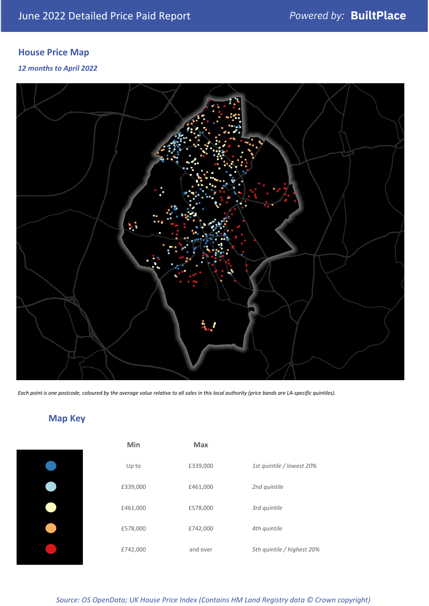# **House Price Map**

*12 months to April 2022*



*Each point is one postcode, coloured by the average value relative to all sales in this local authority (price bands are LA-specific quintiles).*

# **Map Key**

| Min      | <b>Max</b> |                            |
|----------|------------|----------------------------|
| Up to    | £339,000   | 1st quintile / lowest 20%  |
| £339,000 | £461,000   | 2nd quintile               |
| £461,000 | £578,000   | 3rd quintile               |
| £578,000 | £742,000   | 4th quintile               |
| £742,000 | and over   | 5th quintile / highest 20% |
|          |            |                            |

*Source: OS OpenData; UK House Price Index (Contains HM Land Registry data © Crown copyright)*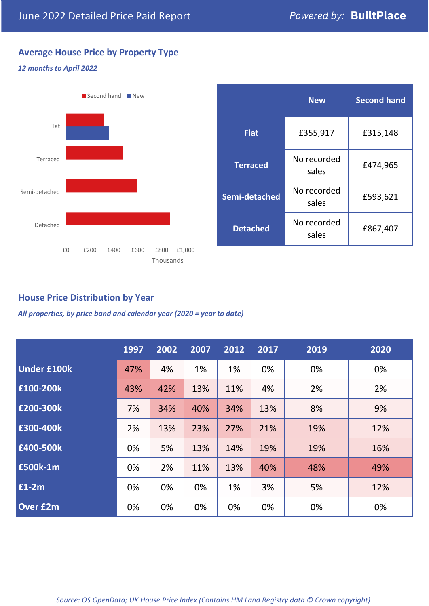# **Average House Price by Property Type**

### *12 months to April 2022*



|                 | <b>New</b>           | <b>Second hand</b> |  |
|-----------------|----------------------|--------------------|--|
| <b>Flat</b>     | £355,917             | £315,148           |  |
| <b>Terraced</b> | No recorded<br>sales | £474,965           |  |
| Semi-detached   | No recorded<br>sales | £593,621           |  |
| <b>Detached</b> | No recorded<br>sales | £867,407           |  |

# **House Price Distribution by Year**

*All properties, by price band and calendar year (2020 = year to date)*

|                    | 1997 | 2002 | 2007 | 2012 | 2017 | 2019 | 2020 |
|--------------------|------|------|------|------|------|------|------|
| <b>Under £100k</b> | 47%  | 4%   | 1%   | 1%   | 0%   | 0%   | 0%   |
| £100-200k          | 43%  | 42%  | 13%  | 11%  | 4%   | 2%   | 2%   |
| E200-300k          | 7%   | 34%  | 40%  | 34%  | 13%  | 8%   | 9%   |
| £300-400k          | 2%   | 13%  | 23%  | 27%  | 21%  | 19%  | 12%  |
| £400-500k          | 0%   | 5%   | 13%  | 14%  | 19%  | 19%  | 16%  |
| <b>£500k-1m</b>    | 0%   | 2%   | 11%  | 13%  | 40%  | 48%  | 49%  |
| £1-2m              | 0%   | 0%   | 0%   | 1%   | 3%   | 5%   | 12%  |
| <b>Over £2m</b>    | 0%   | 0%   | 0%   | 0%   | 0%   | 0%   | 0%   |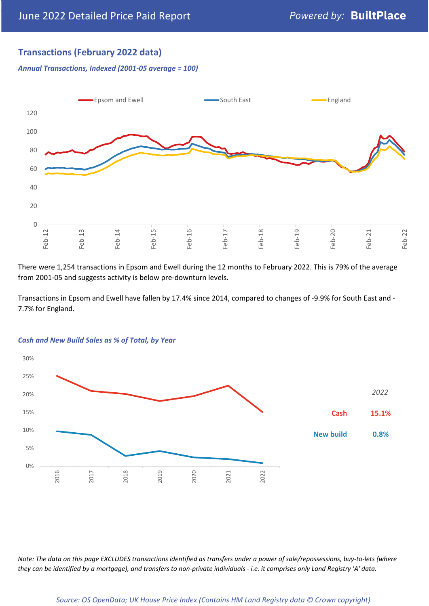# **Transactions (February 2022 data)**

*Annual Transactions, Indexed (2001-05 average = 100)*



There were 1,254 transactions in Epsom and Ewell during the 12 months to February 2022. This is 79% of the average from 2001-05 and suggests activity is below pre-downturn levels.

Transactions in Epsom and Ewell have fallen by 17.4% since 2014, compared to changes of -9.9% for South East and - 7.7% for England.



#### *Cash and New Build Sales as % of Total, by Year*

*Note: The data on this page EXCLUDES transactions identified as transfers under a power of sale/repossessions, buy-to-lets (where they can be identified by a mortgage), and transfers to non-private individuals - i.e. it comprises only Land Registry 'A' data.*